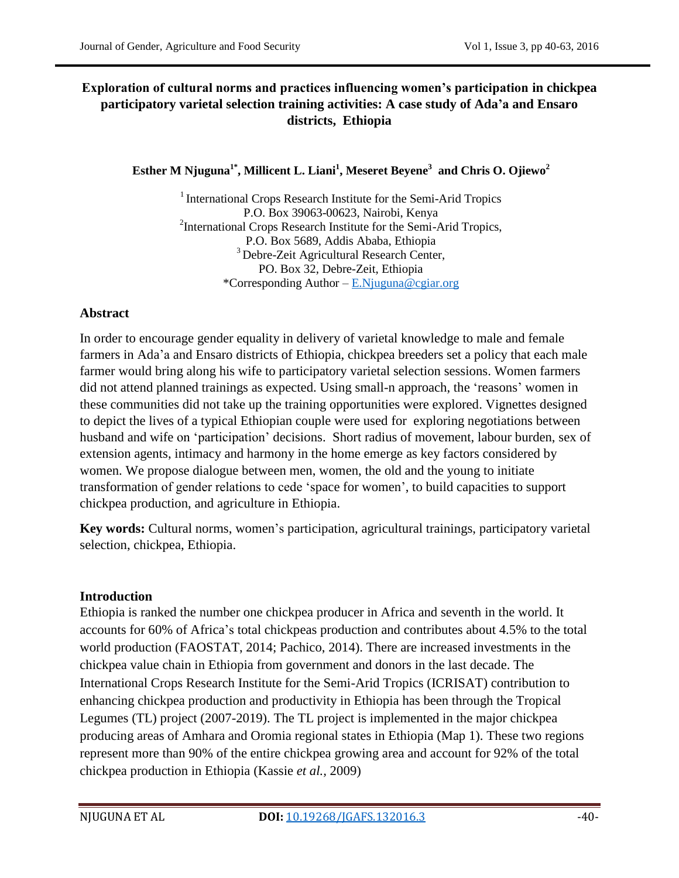# **Exploration of cultural norms and practices influencing women's participation in chickpea participatory varietal selection training activities: A case study of Ada'a and Ensaro districts, Ethiopia**

# **Esther M Njuguna1\* , Millicent L. Liani<sup>1</sup> , Meseret Beyene<sup>3</sup> and Chris O. Ojiewo<sup>2</sup>**

 $<sup>1</sup>$  International Crops Research Institute for the Semi-Arid Tropics</sup> P.O. Box 39063-00623, Nairobi, Kenya <sup>2</sup>International Crops Research Institute for the Semi-Arid Tropics, P.O. Box 5689, Addis Ababa, Ethiopia <sup>3</sup> Debre-Zeit Agricultural Research Center, PO. Box 32, Debre-Zeit, Ethiopia \*Corresponding Author – [E.Njuguna@cgiar.org](mailto:E.Njuguna@cgiar.org)

## **Abstract**

In order to encourage gender equality in delivery of varietal knowledge to male and female farmers in Ada"a and Ensaro districts of Ethiopia, chickpea breeders set a policy that each male farmer would bring along his wife to participatory varietal selection sessions. Women farmers did not attend planned trainings as expected. Using small-n approach, the "reasons" women in these communities did not take up the training opportunities were explored. Vignettes designed to depict the lives of a typical Ethiopian couple were used for exploring negotiations between husband and wife on 'participation' decisions. Short radius of movement, labour burden, sex of extension agents, intimacy and harmony in the home emerge as key factors considered by women. We propose dialogue between men, women, the old and the young to initiate transformation of gender relations to cede "space for women", to build capacities to support chickpea production, and agriculture in Ethiopia.

**Key words:** Cultural norms, women"s participation, agricultural trainings, participatory varietal selection, chickpea, Ethiopia.

## **Introduction**

Ethiopia is ranked the number one chickpea producer in Africa and seventh in the world. It accounts for 60% of Africa"s total chickpeas production and contributes about 4.5% to the total world production (FAOSTAT, 2014; Pachico, 2014). There are increased investments in the chickpea value chain in Ethiopia from government and donors in the last decade. The International Crops Research Institute for the Semi-Arid Tropics (ICRISAT) contribution to enhancing chickpea production and productivity in Ethiopia has been through the Tropical Legumes (TL) project (2007-2019). The TL project is implemented in the major chickpea producing areas of Amhara and Oromia regional states in Ethiopia (Map 1). These two regions represent more than 90% of the entire chickpea growing area and account for 92% of the total chickpea production in Ethiopia (Kassie *et al.,* 2009)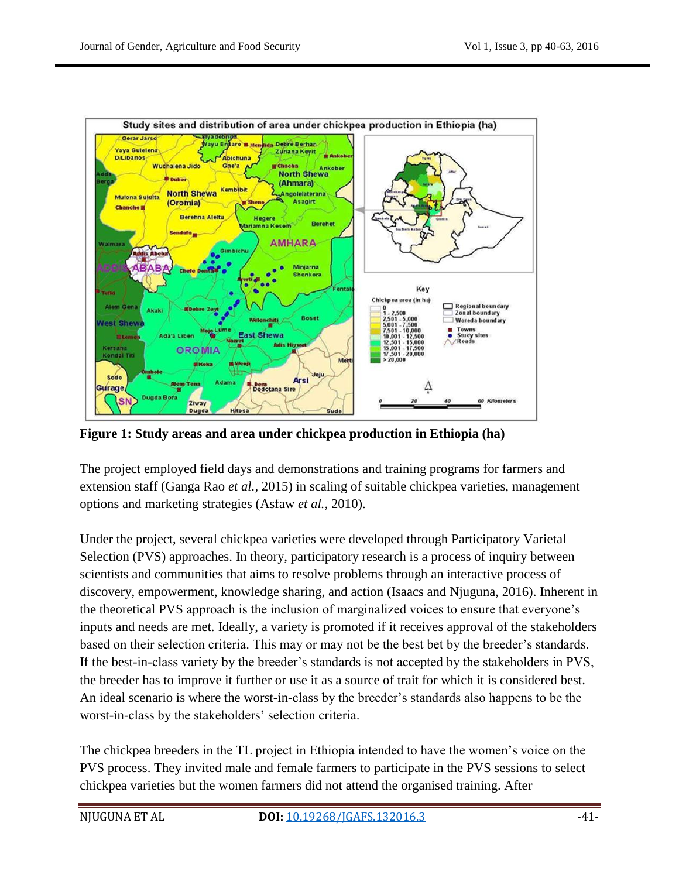

**Figure 1: Study areas and area under chickpea production in Ethiopia (ha)**

The project employed field days and demonstrations and training programs for farmers and extension staff (Ganga Rao *et al.,* 2015) in scaling of suitable chickpea varieties, management options and marketing strategies (Asfaw *et al.,* 2010).

Under the project, several chickpea varieties were developed through Participatory Varietal Selection (PVS) approaches. In theory, participatory research is a process of inquiry between scientists and communities that aims to resolve problems through an interactive process of discovery, empowerment, knowledge sharing, and action (Isaacs and Njuguna, 2016). Inherent in the theoretical PVS approach is the inclusion of marginalized voices to ensure that everyone"s inputs and needs are met. Ideally, a variety is promoted if it receives approval of the stakeholders based on their selection criteria. This may or may not be the best bet by the breeder"s standards. If the best-in-class variety by the breeder's standards is not accepted by the stakeholders in PVS, the breeder has to improve it further or use it as a source of trait for which it is considered best. An ideal scenario is where the worst-in-class by the breeder"s standards also happens to be the worst-in-class by the stakeholders' selection criteria.

The chickpea breeders in the TL project in Ethiopia intended to have the women"s voice on the PVS process. They invited male and female farmers to participate in the PVS sessions to select chickpea varieties but the women farmers did not attend the organised training. After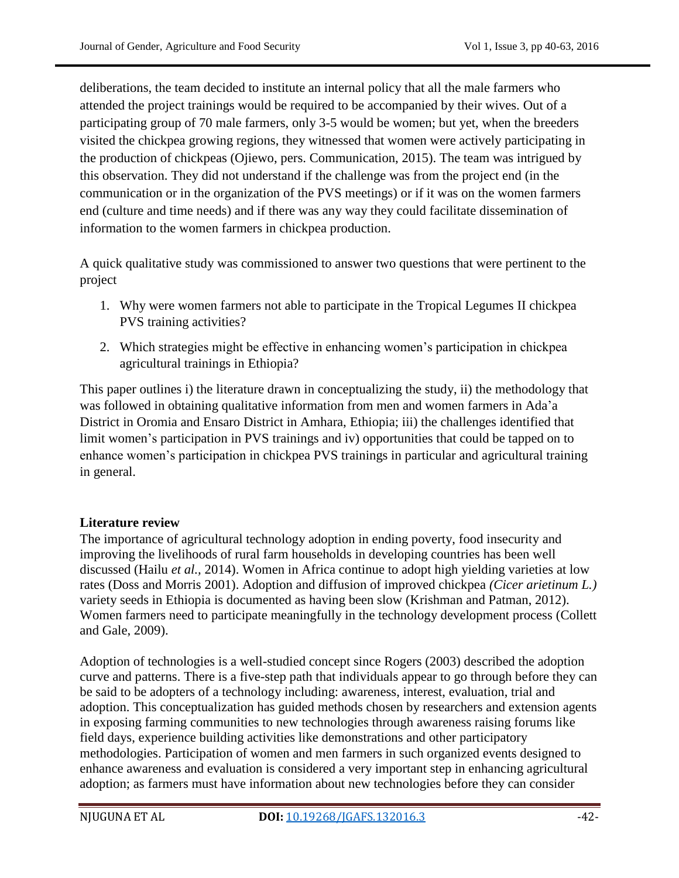deliberations, the team decided to institute an internal policy that all the male farmers who attended the project trainings would be required to be accompanied by their wives. Out of a participating group of 70 male farmers, only 3-5 would be women; but yet, when the breeders visited the chickpea growing regions, they witnessed that women were actively participating in the production of chickpeas (Ojiewo, pers. Communication, 2015). The team was intrigued by this observation. They did not understand if the challenge was from the project end (in the communication or in the organization of the PVS meetings) or if it was on the women farmers end (culture and time needs) and if there was any way they could facilitate dissemination of information to the women farmers in chickpea production.

A quick qualitative study was commissioned to answer two questions that were pertinent to the project

- 1. Why were women farmers not able to participate in the Tropical Legumes II chickpea PVS training activities?
- 2. Which strategies might be effective in enhancing women"s participation in chickpea agricultural trainings in Ethiopia?

This paper outlines i) the literature drawn in conceptualizing the study, ii) the methodology that was followed in obtaining qualitative information from men and women farmers in Ada"a District in Oromia and Ensaro District in Amhara, Ethiopia; iii) the challenges identified that limit women"s participation in PVS trainings and iv) opportunities that could be tapped on to enhance women"s participation in chickpea PVS trainings in particular and agricultural training in general.

## **Literature review**

The importance of agricultural technology adoption in ending poverty, food insecurity and improving the livelihoods of rural farm households in developing countries has been well discussed (Hailu *et al.,* 2014). Women in Africa continue to adopt high yielding varieties at low rates (Doss and Morris 2001). Adoption and diffusion of improved chickpea *(Cicer arietinum L.)* variety seeds in Ethiopia is documented as having been slow (Krishman and Patman, 2012). Women farmers need to participate meaningfully in the technology development process (Collett and Gale, 2009).

Adoption of technologies is a well-studied concept since Rogers (2003) described the adoption curve and patterns. There is a five-step path that individuals appear to go through before they can be said to be adopters of a technology including: awareness, interest, evaluation, trial and adoption. This conceptualization has guided methods chosen by researchers and extension agents in exposing farming communities to new technologies through awareness raising forums like field days, experience building activities like demonstrations and other participatory methodologies. Participation of women and men farmers in such organized events designed to enhance awareness and evaluation is considered a very important step in enhancing agricultural adoption; as farmers must have information about new technologies before they can consider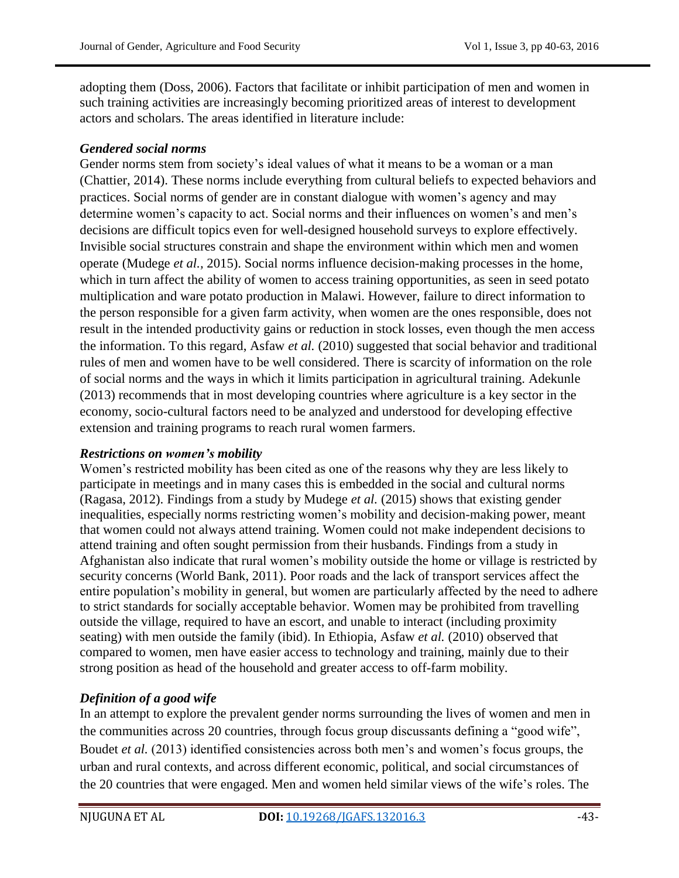adopting them (Doss, 2006). Factors that facilitate or inhibit participation of men and women in such training activities are increasingly becoming prioritized areas of interest to development actors and scholars. The areas identified in literature include:

#### *Gendered social norms*

Gender norms stem from society's ideal values of what it means to be a woman or a man (Chattier, 2014). These norms include everything from cultural beliefs to expected behaviors and practices. Social norms of gender are in constant dialogue with women"s agency and may determine women's capacity to act. Social norms and their influences on women's and men's decisions are difficult topics even for well-designed household surveys to explore effectively. Invisible social structures constrain and shape the environment within which men and women operate (Mudege *et al.,* 2015). Social norms influence decision-making processes in the home, which in turn affect the ability of women to access training opportunities, as seen in seed potato multiplication and ware potato production in Malawi. However, failure to direct information to the person responsible for a given farm activity, when women are the ones responsible, does not result in the intended productivity gains or reduction in stock losses, even though the men access the information. To this regard, Asfaw *et al.* (2010) suggested that social behavior and traditional rules of men and women have to be well considered. There is scarcity of information on the role of social norms and the ways in which it limits participation in agricultural training. Adekunle (2013) recommends that in most developing countries where agriculture is a key sector in the economy, socio-cultural factors need to be analyzed and understood for developing effective extension and training programs to reach rural women farmers.

## *Restrictions on women's mobility*

Women"s restricted mobility has been cited as one of the reasons why they are less likely to participate in meetings and in many cases this is embedded in the social and cultural norms (Ragasa, 2012). Findings from a study by Mudege *et al.* (2015) shows that existing gender inequalities, especially norms restricting women"s mobility and decision-making power, meant that women could not always attend training. Women could not make independent decisions to attend training and often sought permission from their husbands. Findings from a study in Afghanistan also indicate that rural women"s mobility outside the home or village is restricted by security concerns (World Bank, 2011). Poor roads and the lack of transport services affect the entire population"s mobility in general, but women are particularly affected by the need to adhere to strict standards for socially acceptable behavior. Women may be prohibited from travelling outside the village, required to have an escort, and unable to interact (including proximity seating) with men outside the family (ibid). In Ethiopia, Asfaw *et al.* (2010) observed that compared to women, men have easier access to technology and training, mainly due to their strong position as head of the household and greater access to off-farm mobility.

# *Definition of a good wife*

In an attempt to explore the prevalent gender norms surrounding the lives of women and men in the communities across 20 countries, through focus group discussants defining a "good wife", Boudet *et al.* (2013) identified consistencies across both men"s and women"s focus groups, the urban and rural contexts, and across different economic, political, and social circumstances of the 20 countries that were engaged. Men and women held similar views of the wife"s roles. The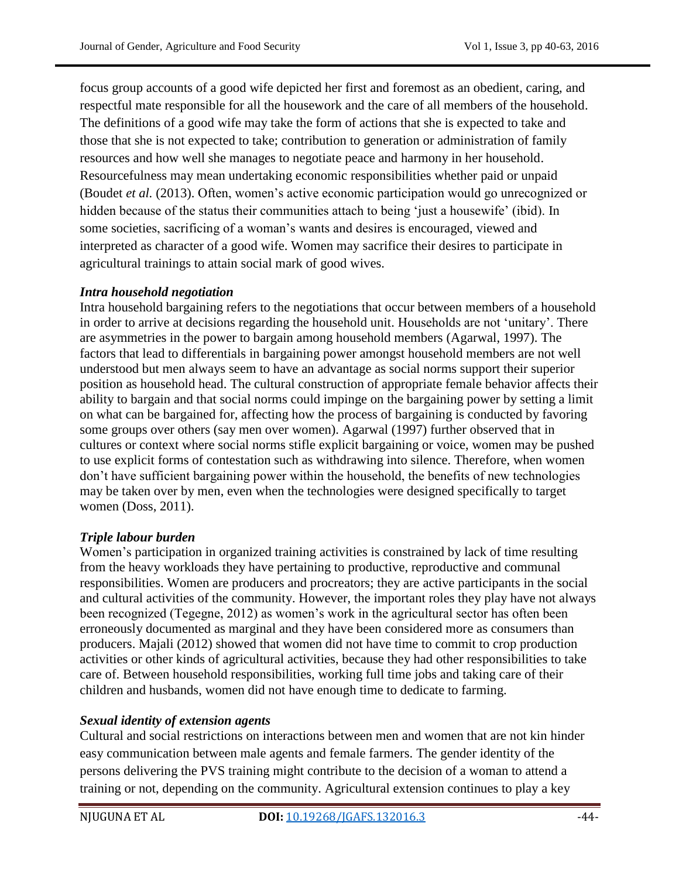focus group accounts of a good wife depicted her first and foremost as an obedient, caring, and respectful mate responsible for all the housework and the care of all members of the household. The definitions of a good wife may take the form of actions that she is expected to take and those that she is not expected to take; contribution to generation or administration of family resources and how well she manages to negotiate peace and harmony in her household. Resourcefulness may mean undertaking economic responsibilities whether paid or unpaid (Boudet *et al.* (2013). Often, women's active economic participation would go unrecognized or hidden because of the status their communities attach to being "just a housewife" (ibid). In some societies, sacrificing of a woman"s wants and desires is encouraged, viewed and interpreted as character of a good wife. Women may sacrifice their desires to participate in agricultural trainings to attain social mark of good wives.

## *Intra household negotiation*

Intra household bargaining refers to the negotiations that occur between members of a household in order to arrive at decisions regarding the household unit. Households are not "unitary". There are asymmetries in the power to bargain among household members (Agarwal, 1997). The factors that lead to differentials in bargaining power amongst household members are not well understood but men always seem to have an advantage as social norms support their superior position as household head. The cultural construction of appropriate female behavior affects their ability to bargain and that social norms could impinge on the bargaining power by setting a limit on what can be bargained for, affecting how the process of bargaining is conducted by favoring some groups over others (say men over women). Agarwal (1997) further observed that in cultures or context where social norms stifle explicit bargaining or voice, women may be pushed to use explicit forms of contestation such as withdrawing into silence. Therefore, when women don"t have sufficient bargaining power within the household, the benefits of new technologies may be taken over by men, even when the technologies were designed specifically to target women (Doss, 2011).

## *Triple labour burden*

Women"s participation in organized training activities is constrained by lack of time resulting from the heavy workloads they have pertaining to productive, reproductive and communal responsibilities. Women are producers and procreators; they are active participants in the social and cultural activities of the community. However, the important roles they play have not always been recognized (Tegegne, 2012) as women"s work in the agricultural sector has often been erroneously documented as marginal and they have been considered more as consumers than producers. Majali (2012) showed that women did not have time to commit to crop production activities or other kinds of agricultural activities, because they had other responsibilities to take care of. Between household responsibilities, working full time jobs and taking care of their children and husbands, women did not have enough time to dedicate to farming.

## *Sexual identity of extension agents*

Cultural and social restrictions on interactions between men and women that are not kin hinder easy communication between male agents and female farmers. The gender identity of the persons delivering the PVS training might contribute to the decision of a woman to attend a training or not, depending on the community. Agricultural extension continues to play a key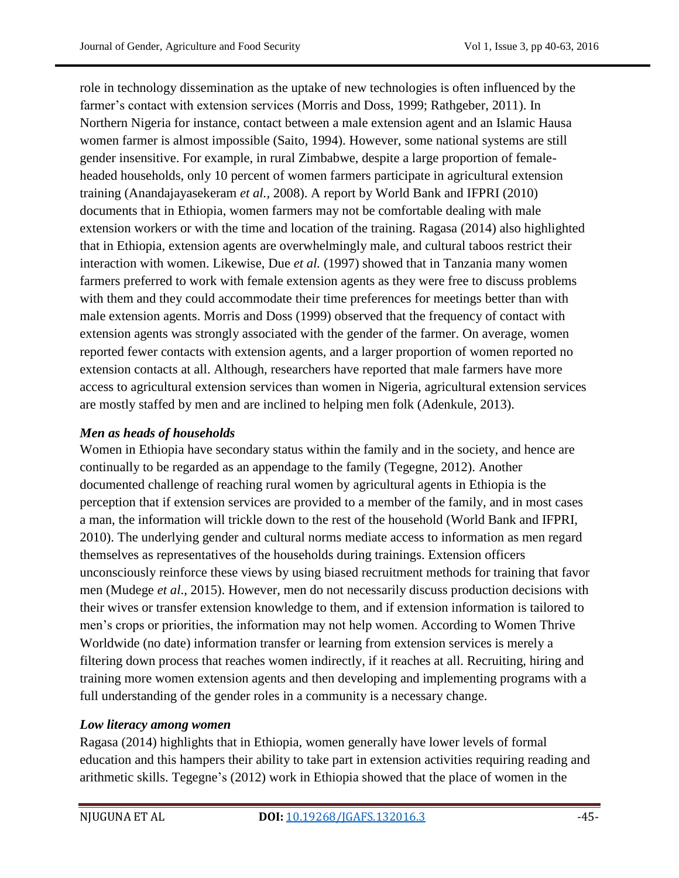role in technology dissemination as the uptake of new technologies is often influenced by the farmer's contact with extension services (Morris and Doss, 1999; Rathgeber, 2011). In Northern Nigeria for instance, contact between a male extension agent and an Islamic Hausa women farmer is almost impossible (Saito, 1994). However, some national systems are still gender insensitive. For example, in rural Zimbabwe, despite a large proportion of femaleheaded households, only 10 percent of women farmers participate in agricultural extension training (Anandajayasekeram *et al.,* 2008). A report by World Bank and IFPRI (2010) documents that in Ethiopia, women farmers may not be comfortable dealing with male extension workers or with the time and location of the training. Ragasa (2014) also highlighted that in Ethiopia, extension agents are overwhelmingly male, and cultural taboos restrict their interaction with women. Likewise, Due *et al.* (1997) showed that in Tanzania many women farmers preferred to work with female extension agents as they were free to discuss problems with them and they could accommodate their time preferences for meetings better than with male extension agents. Morris and Doss (1999) observed that the frequency of contact with extension agents was strongly associated with the gender of the farmer. On average, women reported fewer contacts with extension agents, and a larger proportion of women reported no extension contacts at all. Although, researchers have reported that male farmers have more access to agricultural extension services than women in Nigeria, agricultural extension services are mostly staffed by men and are inclined to helping men folk (Adenkule, 2013).

# *Men as heads of households*

Women in Ethiopia have secondary status within the family and in the society, and hence are continually to be regarded as an appendage to the family (Tegegne, 2012). Another documented challenge of reaching rural women by agricultural agents in Ethiopia is the perception that if extension services are provided to a member of the family, and in most cases a man, the information will trickle down to the rest of the household (World Bank and IFPRI, 2010). The underlying gender and cultural norms mediate access to information as men regard themselves as representatives of the households during trainings. Extension officers unconsciously reinforce these views by using biased recruitment methods for training that favor men (Mudege *et al*., 2015). However, men do not necessarily discuss production decisions with their wives or transfer extension knowledge to them, and if extension information is tailored to men"s crops or priorities, the information may not help women. According to Women Thrive Worldwide (no date) information transfer or learning from extension services is merely a filtering down process that reaches women indirectly, if it reaches at all. Recruiting, hiring and training more women extension agents and then developing and implementing programs with a full understanding of the gender roles in a community is a necessary change.

## *Low literacy among women*

Ragasa (2014) highlights that in Ethiopia, women generally have lower levels of formal education and this hampers their ability to take part in extension activities requiring reading and arithmetic skills. Tegegne"s (2012) work in Ethiopia showed that the place of women in the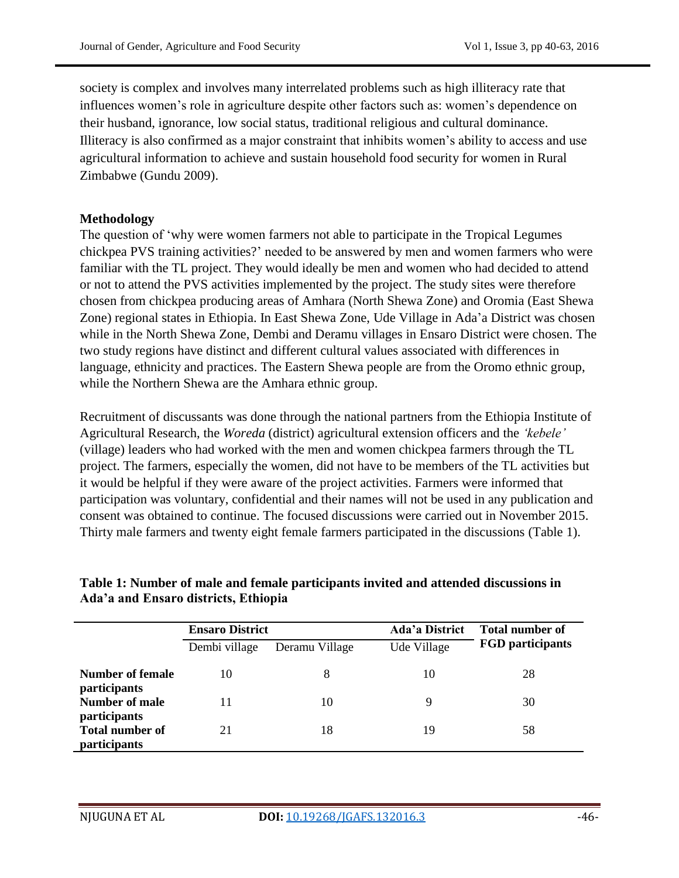society is complex and involves many interrelated problems such as high illiteracy rate that influences women"s role in agriculture despite other factors such as: women"s dependence on their husband, ignorance, low social status, traditional religious and cultural dominance. Illiteracy is also confirmed as a major constraint that inhibits women"s ability to access and use agricultural information to achieve and sustain household food security for women in Rural Zimbabwe (Gundu 2009).

#### **Methodology**

The question of "why were women farmers not able to participate in the Tropical Legumes chickpea PVS training activities?" needed to be answered by men and women farmers who were familiar with the TL project. They would ideally be men and women who had decided to attend or not to attend the PVS activities implemented by the project. The study sites were therefore chosen from chickpea producing areas of Amhara (North Shewa Zone) and Oromia (East Shewa Zone) regional states in Ethiopia. In East Shewa Zone, Ude Village in Ada"a District was chosen while in the North Shewa Zone, Dembi and Deramu villages in Ensaro District were chosen. The two study regions have distinct and different cultural values associated with differences in language, ethnicity and practices. The Eastern Shewa people are from the Oromo ethnic group, while the Northern Shewa are the Amhara ethnic group.

Recruitment of discussants was done through the national partners from the Ethiopia Institute of Agricultural Research, the *Woreda* (district) agricultural extension officers and the *"kebele"* (village) leaders who had worked with the men and women chickpea farmers through the TL project. The farmers, especially the women, did not have to be members of the TL activities but it would be helpful if they were aware of the project activities. Farmers were informed that participation was voluntary, confidential and their names will not be used in any publication and consent was obtained to continue. The focused discussions were carried out in November 2015. Thirty male farmers and twenty eight female farmers participated in the discussions (Table 1).

|                                                               | <b>Ensaro District</b> |                | Ada'a District | <b>Total number of</b>  |  |
|---------------------------------------------------------------|------------------------|----------------|----------------|-------------------------|--|
|                                                               | Dembi village          | Deramu Village | Ude Village    | <b>FGD</b> participants |  |
| Number of female<br><i>participants</i>                       | 10                     | 8              | 10             | 28                      |  |
| Number of male                                                | 11                     | 10             | 9              | 30                      |  |
| participants<br><b>Total number of</b><br><i>participants</i> | 21                     | 18             | 19             | 58                      |  |

# **Table 1: Number of male and female participants invited and attended discussions in Ada'a and Ensaro districts, Ethiopia**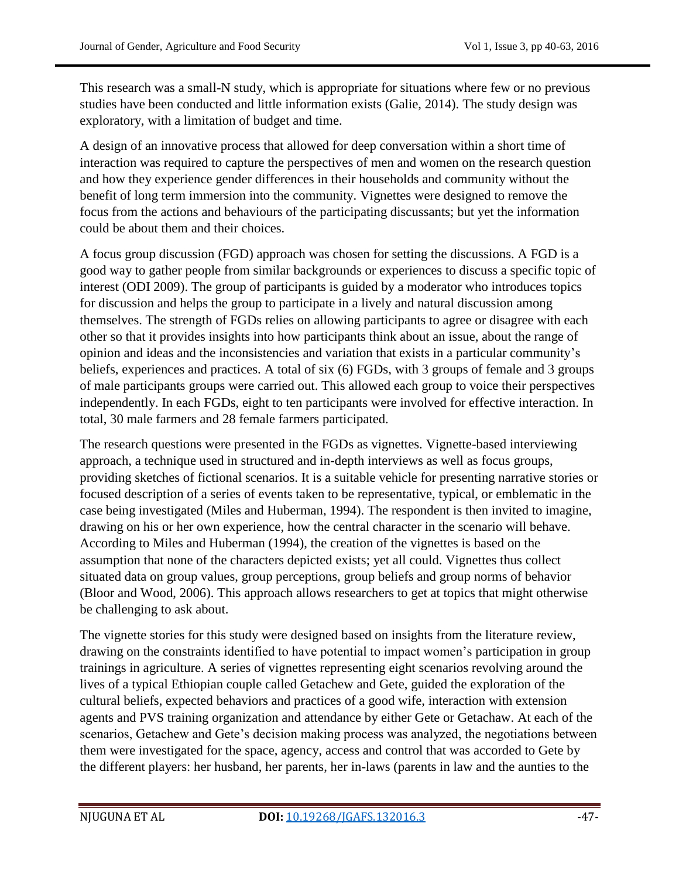This research was a small-N study, which is appropriate for situations where few or no previous studies have been conducted and little information exists (Galie, 2014). The study design was exploratory, with a limitation of budget and time.

A design of an innovative process that allowed for deep conversation within a short time of interaction was required to capture the perspectives of men and women on the research question and how they experience gender differences in their households and community without the benefit of long term immersion into the community. Vignettes were designed to remove the focus from the actions and behaviours of the participating discussants; but yet the information could be about them and their choices.

A focus group discussion (FGD) approach was chosen for setting the discussions. A FGD is a good way to gather people from similar backgrounds or experiences to discuss a specific topic of interest (ODI 2009). The group of participants is guided by a moderator who introduces topics for discussion and helps the group to participate in a lively and natural discussion among themselves. The strength of FGDs relies on allowing participants to agree or disagree with each other so that it provides insights into how participants think about an issue, about the range of opinion and ideas and the inconsistencies and variation that exists in a particular community"s beliefs, experiences and practices. A total of six (6) FGDs, with 3 groups of female and 3 groups of male participants groups were carried out. This allowed each group to voice their perspectives independently. In each FGDs, eight to ten participants were involved for effective interaction. In total, 30 male farmers and 28 female farmers participated.

The research questions were presented in the FGDs as vignettes. Vignette-based interviewing approach, a technique used in structured and in-depth interviews as well as focus groups, providing sketches of fictional scenarios. It is a suitable vehicle for presenting narrative stories or focused description of a series of events taken to be representative, typical, or emblematic in the case being investigated (Miles and Huberman, 1994). The respondent is then invited to imagine, drawing on his or her own experience, how the central character in the scenario will behave. According to Miles and Huberman (1994), the creation of the vignettes is based on the assumption that none of the characters depicted exists; yet all could. Vignettes thus collect situated data on group values, group perceptions, group beliefs and group norms of behavior (Bloor and Wood, 2006). This approach allows researchers to get at topics that might otherwise be challenging to ask about.

The vignette stories for this study were designed based on insights from the literature review, drawing on the constraints identified to have potential to impact women"s participation in group trainings in agriculture. A series of vignettes representing eight scenarios revolving around the lives of a typical Ethiopian couple called Getachew and Gete, guided the exploration of the cultural beliefs, expected behaviors and practices of a good wife, interaction with extension agents and PVS training organization and attendance by either Gete or Getachaw. At each of the scenarios, Getachew and Gete's decision making process was analyzed, the negotiations between them were investigated for the space, agency, access and control that was accorded to Gete by the different players: her husband, her parents, her in-laws (parents in law and the aunties to the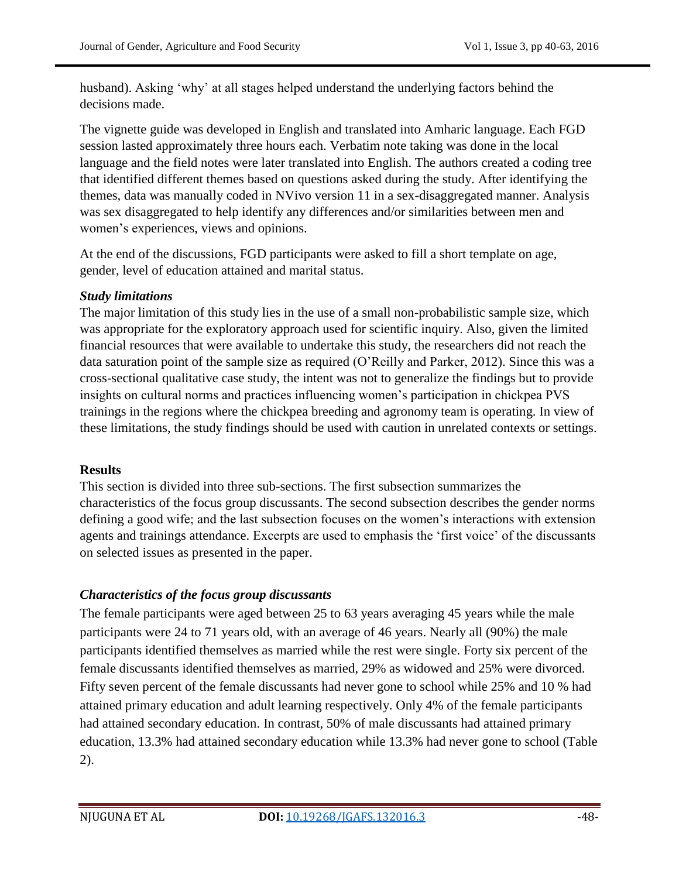husband). Asking 'why' at all stages helped understand the underlying factors behind the decisions made.

The vignette guide was developed in English and translated into Amharic language. Each FGD session lasted approximately three hours each. Verbatim note taking was done in the local language and the field notes were later translated into English. The authors created a coding tree that identified different themes based on questions asked during the study. After identifying the themes, data was manually coded in NVivo version 11 in a sex-disaggregated manner. Analysis was sex disaggregated to help identify any differences and/or similarities between men and women"s experiences, views and opinions.

At the end of the discussions, FGD participants were asked to fill a short template on age, gender, level of education attained and marital status.

## *Study limitations*

The major limitation of this study lies in the use of a small non-probabilistic sample size, which was appropriate for the exploratory approach used for scientific inquiry. Also, given the limited financial resources that were available to undertake this study, the researchers did not reach the data saturation point of the sample size as required (O"Reilly and Parker, 2012). Since this was a cross-sectional qualitative case study, the intent was not to generalize the findings but to provide insights on cultural norms and practices influencing women"s participation in chickpea PVS trainings in the regions where the chickpea breeding and agronomy team is operating. In view of these limitations, the study findings should be used with caution in unrelated contexts or settings.

## **Results**

This section is divided into three sub-sections. The first subsection summarizes the characteristics of the focus group discussants. The second subsection describes the gender norms defining a good wife; and the last subsection focuses on the women"s interactions with extension agents and trainings attendance. Excerpts are used to emphasis the "first voice" of the discussants on selected issues as presented in the paper.

# *Characteristics of the focus group discussants*

The female participants were aged between 25 to 63 years averaging 45 years while the male participants were 24 to 71 years old, with an average of 46 years. Nearly all (90%) the male participants identified themselves as married while the rest were single. Forty six percent of the female discussants identified themselves as married, 29% as widowed and 25% were divorced. Fifty seven percent of the female discussants had never gone to school while 25% and 10 % had attained primary education and adult learning respectively. Only 4% of the female participants had attained secondary education. In contrast, 50% of male discussants had attained primary education, 13.3% had attained secondary education while 13.3% had never gone to school (Table 2).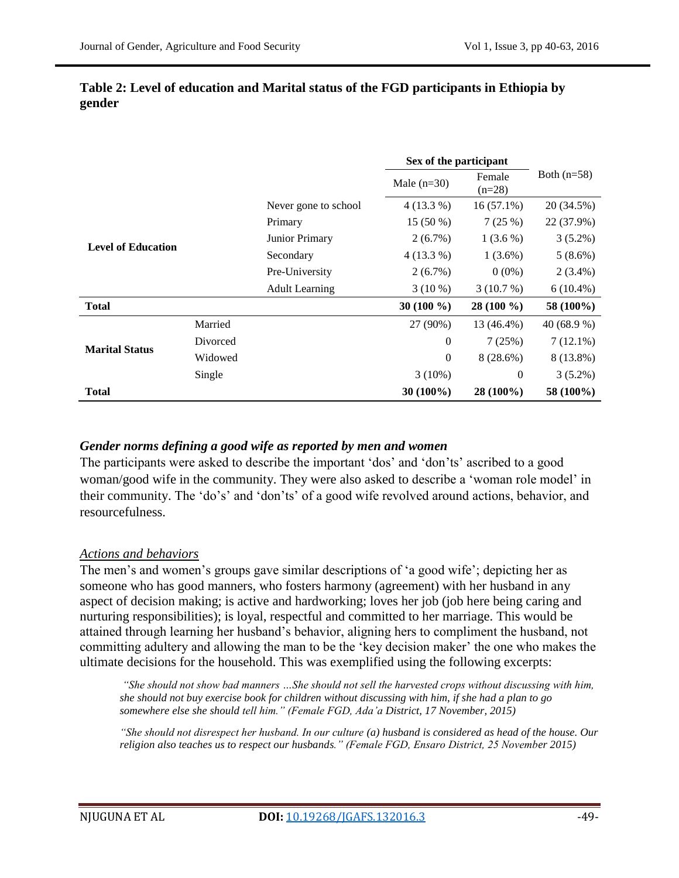|                           |          |                       | Sex of the participant |                    |               |
|---------------------------|----------|-----------------------|------------------------|--------------------|---------------|
|                           |          |                       | Male $(n=30)$          | Female<br>$(n=28)$ | Both $(n=58)$ |
|                           |          | Never gone to school  | $4(13.3\%)$            | $16(57.1\%)$       | 20 (34.5%)    |
|                           |          | Primary               | $15(50\%)$             | 7(25%)             | 22 (37.9%)    |
| <b>Level of Education</b> |          | Junior Primary        | $2(6.7\%)$             | $1(3.6\%)$         | $3(5.2\%)$    |
|                           |          | Secondary             | $4(13.3\%)$            | $1(3.6\%)$         | $5(8.6\%)$    |
|                           |          | Pre-University        | $2(6.7\%)$             | $0(0\%)$           | $2(3.4\%)$    |
|                           |          | <b>Adult Learning</b> | $3(10\%)$              | 3(10.7%)           | $6(10.4\%)$   |
| <b>Total</b>              |          |                       | 30 $(100\%$            | 28 (100 %)         | 58 (100%)     |
| <b>Marital Status</b>     | Married  |                       | 27 (90%)               | 13 (46.4%)         | 40 $(68.9\%)$ |
|                           | Divorced |                       | $\theta$               | 7(25%)             | $7(12.1\%)$   |
|                           | Widowed  |                       | $\overline{0}$         | 8(28.6%)           | 8 (13.8%)     |
|                           | Single   |                       | $3(10\%)$              | $\mathbf{0}$       | $3(5.2\%)$    |
| <b>Total</b>              |          |                       | $30(100\%)$            | $28(100\%)$        | 58 (100%)     |

#### **Table 2: Level of education and Marital status of the FGD participants in Ethiopia by gender**

## *Gender norms defining a good wife as reported by men and women*

The participants were asked to describe the important 'dos' and 'don'ts' ascribed to a good woman/good wife in the community. They were also asked to describe a "woman role model" in their community. The "do"s" and "don"ts" of a good wife revolved around actions, behavior, and resourcefulness.

## *Actions and behaviors*

The men"s and women"s groups gave similar descriptions of "a good wife"; depicting her as someone who has good manners, who fosters harmony (agreement) with her husband in any aspect of decision making; is active and hardworking; loves her job (job here being caring and nurturing responsibilities); is loyal, respectful and committed to her marriage. This would be attained through learning her husband"s behavior, aligning hers to compliment the husband, not committing adultery and allowing the man to be the "key decision maker" the one who makes the ultimate decisions for the household. This was exemplified using the following excerpts:

*"She should not show bad manners …She should not sell the harvested crops without discussing with him, she should not buy exercise book for children without discussing with him, if she had a plan to go somewhere else she should tell him." (Female FGD, Ada"a District, 17 November, 2015)*

*"She should not disrespect her husband. In our culture (a) husband is considered as head of the house. Our religion also teaches us to respect our husbands." (Female FGD, Ensaro District, 25 November 2015)*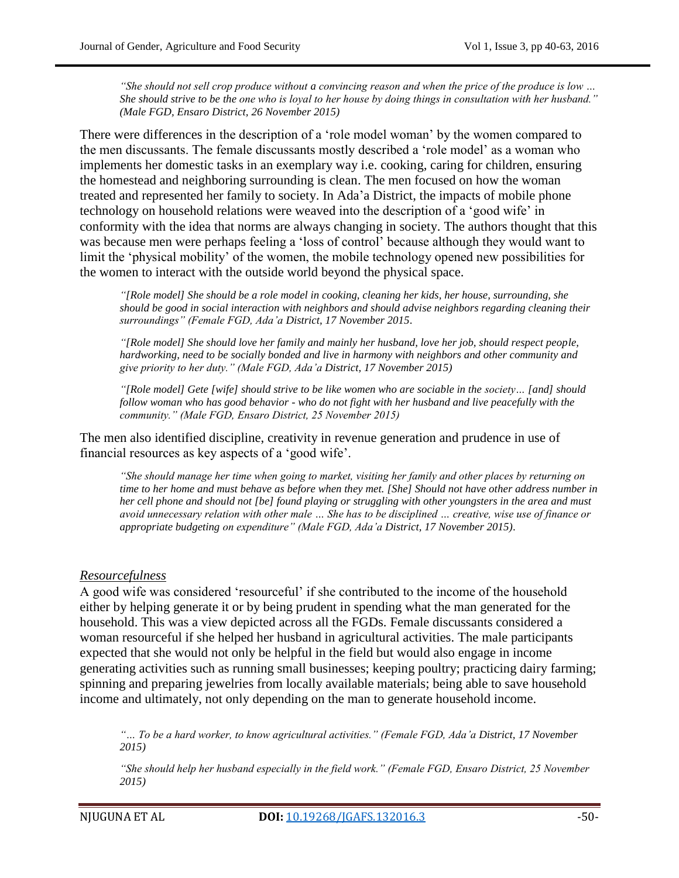*"She should not sell crop produce without a convincing reason and when the price of the produce is low … She should strive to be the one who is loyal to her house by doing things in consultation with her husband." (Male FGD, Ensaro District, 26 November 2015)*

There were differences in the description of a "role model woman" by the women compared to the men discussants. The female discussants mostly described a "role model" as a woman who implements her domestic tasks in an exemplary way i.e. cooking, caring for children, ensuring the homestead and neighboring surrounding is clean. The men focused on how the woman treated and represented her family to society. In Ada"a District, the impacts of mobile phone technology on household relations were weaved into the description of a "good wife" in conformity with the idea that norms are always changing in society. The authors thought that this was because men were perhaps feeling a "loss of control" because although they would want to limit the "physical mobility" of the women, the mobile technology opened new possibilities for the women to interact with the outside world beyond the physical space.

*"[Role model] She should be a role model in cooking, cleaning her kids, her house, surrounding, she should be good in social interaction with neighbors and should advise neighbors regarding cleaning their surroundings" (Female FGD, Ada"a District, 17 November 2015*.

*"[Role model] She should love her family and mainly her husband, love her job, should respect people, hardworking, need to be socially bonded and live in harmony with neighbors and other community and give priority to her duty." (Male FGD, Ada"a District, 17 November 2015)*

*"[Role model] Gete [wife] should strive to be like women who are sociable in the society… [and] should follow woman who has good behavior - who do not fight with her husband and live peacefully with the community." (Male FGD, Ensaro District, 25 November 2015)*

The men also identified discipline, creativity in revenue generation and prudence in use of financial resources as key aspects of a "good wife".

*"She should manage her time when going to market, visiting her family and other places by returning on time to her home and must behave as before when they met. [She] Should not have other address number in her cell phone and should not [be] found playing or struggling with other youngsters in the area and must avoid unnecessary relation with other male … She has to be disciplined … creative, wise use of finance or appropriate budgeting on expenditure" (Male FGD, Ada"a District, 17 November 2015)*.

#### *Resourcefulness*

A good wife was considered "resourceful" if she contributed to the income of the household either by helping generate it or by being prudent in spending what the man generated for the household. This was a view depicted across all the FGDs. Female discussants considered a woman resourceful if she helped her husband in agricultural activities. The male participants expected that she would not only be helpful in the field but would also engage in income generating activities such as running small businesses; keeping poultry; practicing dairy farming; spinning and preparing jewelries from locally available materials; being able to save household income and ultimately, not only depending on the man to generate household income.

*"… To be a hard worker, to know agricultural activities." (Female FGD, Ada"a District, 17 November 2015)*

*"She should help her husband especially in the field work." (Female FGD, Ensaro District, 25 November 2015)*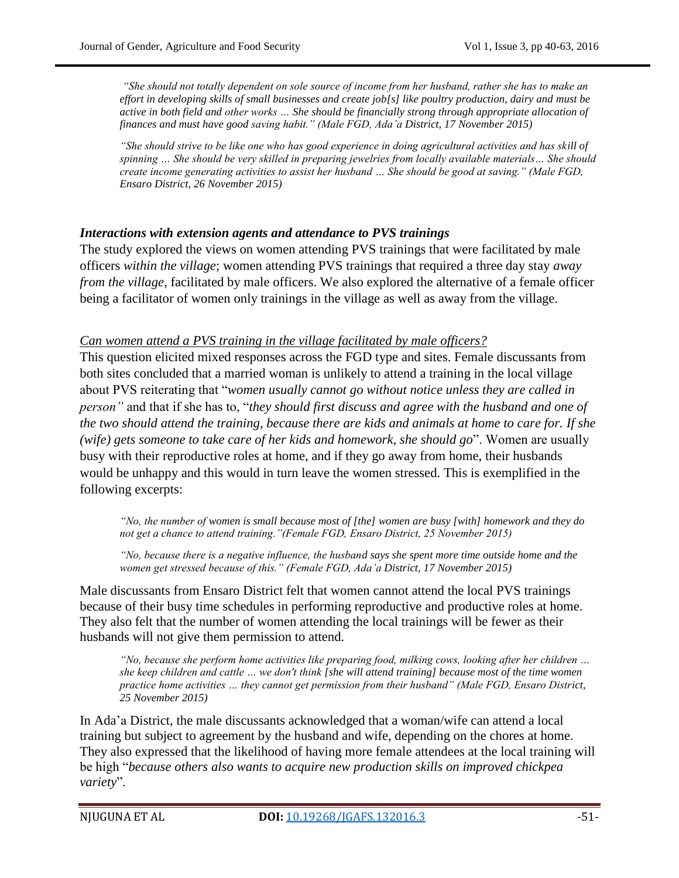*"She should not totally dependent on sole source of income from her husband, rather she has to make an effort in developing skills of small businesses and create job[s] like poultry production, dairy and must be active in both field and other works … She should be financially strong through appropriate allocation of finances and must have good saving habit." (Male FGD, Ada"a District, 17 November 2015)*

*"She should strive to be like one who has good experience in doing agricultural activities and has skill of spinning … She should be very skilled in preparing jewelries from locally available materials… She should create income generating activities to assist her husband … She should be good at saving." (Male FGD, Ensaro District, 26 November 2015)*

#### *Interactions with extension agents and attendance to PVS trainings*

The study explored the views on women attending PVS trainings that were facilitated by male officers *within the village*; women attending PVS trainings that required a three day stay *away from the village*, facilitated by male officers. We also explored the alternative of a female officer being a facilitator of women only trainings in the village as well as away from the village.

#### *Can women attend a PVS training in the village facilitated by male officers?*

This question elicited mixed responses across the FGD type and sites. Female discussants from both sites concluded that a married woman is unlikely to attend a training in the local village about PVS reiterating that "*women usually cannot go without notice unless they are called in person"* and that if she has to, "*they should first discuss and agree with the husband and one of the two should attend the training, because there are kids and animals at home to care for. If she (wife) gets someone to take care of her kids and homework, she should go*". Women are usually busy with their reproductive roles at home, and if they go away from home, their husbands would be unhappy and this would in turn leave the women stressed. This is exemplified in the following excerpts:

*"No, the number of women is small because most of [the] women are busy [with] homework and they do not get a chance to attend training."(Female FGD, Ensaro District, 25 November 2015)*

*"No, because there is a negative influence, the husband says she spent more time outside home and the women get stressed because of this." (Female FGD, Ada"a District, 17 November 2015)*

Male discussants from Ensaro District felt that women cannot attend the local PVS trainings because of their busy time schedules in performing reproductive and productive roles at home. They also felt that the number of women attending the local trainings will be fewer as their husbands will not give them permission to attend.

*"No, because she perform home activities like preparing food, milking cows, looking after her children … she keep children and cattle … we don't think [she will attend training] because most of the time women practice home activities … they cannot get permission from their husband" (Male FGD, Ensaro District, 25 November 2015)*

In Ada"a District, the male discussants acknowledged that a woman/wife can attend a local training but subject to agreement by the husband and wife, depending on the chores at home. They also expressed that the likelihood of having more female attendees at the local training will be high "*because others also wants to acquire new production skills on improved chickpea variety*".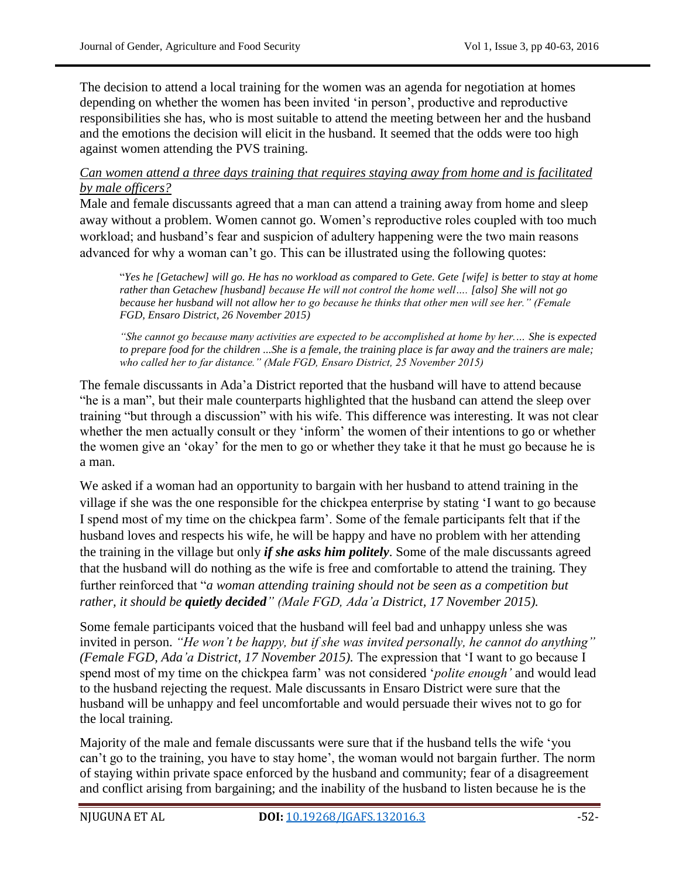The decision to attend a local training for the women was an agenda for negotiation at homes depending on whether the women has been invited "in person", productive and reproductive responsibilities she has, who is most suitable to attend the meeting between her and the husband and the emotions the decision will elicit in the husband. It seemed that the odds were too high against women attending the PVS training.

#### *Can women attend a three days training that requires staying away from home and is facilitated by male officers?*

Male and female discussants agreed that a man can attend a training away from home and sleep away without a problem. Women cannot go. Women"s reproductive roles coupled with too much workload; and husband"s fear and suspicion of adultery happening were the two main reasons advanced for why a woman can"t go. This can be illustrated using the following quotes:

"*Yes he [Getachew] will go. He has no workload as compared to Gete. Gete [wife] is better to stay at home rather than Getachew [husband] because He will not control the home well…. [also] She will not go because her husband will not allow her to go because he thinks that other men will see her." (Female FGD, Ensaro District, 26 November 2015)*

*"She cannot go because many activities are expected to be accomplished at home by her.… She is expected to prepare food for the children ...She is a female, the training place is far away and the trainers are male; who called her to far distance." (Male FGD, Ensaro District, 25 November 2015)*

The female discussants in Ada"a District reported that the husband will have to attend because "he is a man", but their male counterparts highlighted that the husband can attend the sleep over training "but through a discussion" with his wife. This difference was interesting. It was not clear whether the men actually consult or they "inform" the women of their intentions to go or whether the women give an "okay" for the men to go or whether they take it that he must go because he is a man.

We asked if a woman had an opportunity to bargain with her husband to attend training in the village if she was the one responsible for the chickpea enterprise by stating "I want to go because I spend most of my time on the chickpea farm". Some of the female participants felt that if the husband loves and respects his wife, he will be happy and have no problem with her attending the training in the village but only *if she asks him politely*. Some of the male discussants agreed that the husband will do nothing as the wife is free and comfortable to attend the training. They further reinforced that "*a woman attending training should not be seen as a competition but rather, it should be quietly decided" (Male FGD, Ada"a District, 17 November 2015).*

Some female participants voiced that the husband will feel bad and unhappy unless she was invited in person. *"He won"t be happy, but if she was invited personally, he cannot do anything" (Female FGD, Ada"a District, 17 November 2015).* The expression that "I want to go because I spend most of my time on the chickpea farm" was not considered "*polite enough"* and would lead to the husband rejecting the request. Male discussants in Ensaro District were sure that the husband will be unhappy and feel uncomfortable and would persuade their wives not to go for the local training.

Majority of the male and female discussants were sure that if the husband tells the wife "you can"t go to the training, you have to stay home", the woman would not bargain further. The norm of staying within private space enforced by the husband and community; fear of a disagreement and conflict arising from bargaining; and the inability of the husband to listen because he is the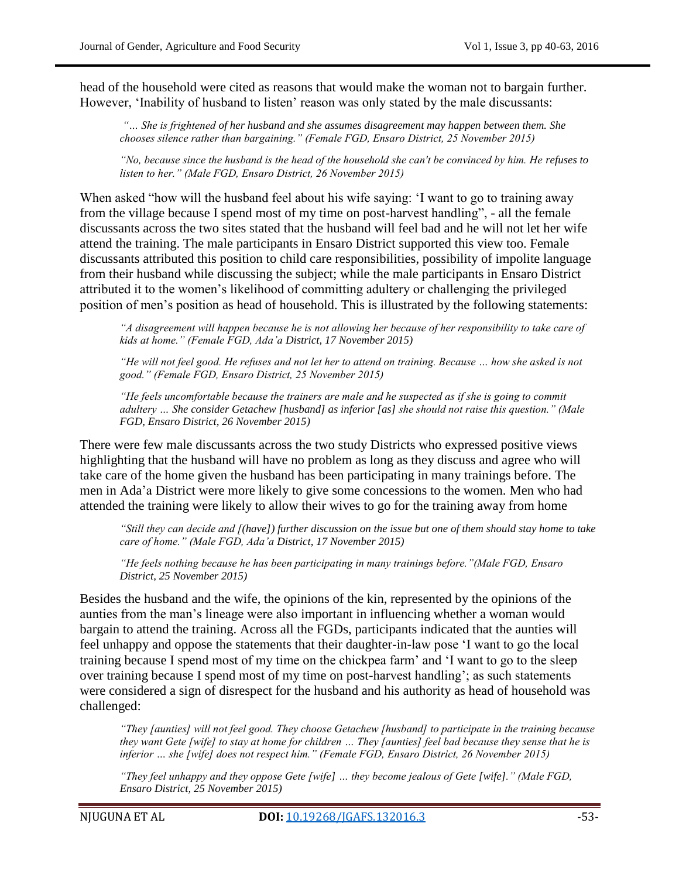head of the household were cited as reasons that would make the woman not to bargain further. However, 'Inability of husband to listen' reason was only stated by the male discussants:

*"… She is frightened of her husband and she assumes disagreement may happen between them. She chooses silence rather than bargaining." (Female FGD, Ensaro District, 25 November 2015)*

*"No, because since the husband is the head of the household she can't be convinced by him. He refuses to listen to her." (Male FGD, Ensaro District, 26 November 2015)*

When asked "how will the husband feel about his wife saying: "I want to go to training away from the village because I spend most of my time on post-harvest handling", - all the female discussants across the two sites stated that the husband will feel bad and he will not let her wife attend the training. The male participants in Ensaro District supported this view too. Female discussants attributed this position to child care responsibilities, possibility of impolite language from their husband while discussing the subject; while the male participants in Ensaro District attributed it to the women"s likelihood of committing adultery or challenging the privileged position of men"s position as head of household. This is illustrated by the following statements:

*"A disagreement will happen because he is not allowing her because of her responsibility to take care of kids at home." (Female FGD, Ada"a District, 17 November 2015)*

*"He will not feel good. He refuses and not let her to attend on training. Because … how she asked is not good." (Female FGD, Ensaro District, 25 November 2015)*

*"He feels uncomfortable because the trainers are male and he suspected as if she is going to commit adultery … She consider Getachew [husband] as inferior [as] she should not raise this question." (Male FGD, Ensaro District, 26 November 2015)*

There were few male discussants across the two study Districts who expressed positive views highlighting that the husband will have no problem as long as they discuss and agree who will take care of the home given the husband has been participating in many trainings before. The men in Ada"a District were more likely to give some concessions to the women. Men who had attended the training were likely to allow their wives to go for the training away from home

*"Still they can decide and [(have]) further discussion on the issue but one of them should stay home to take care of home." (Male FGD, Ada"a District, 17 November 2015)*

*"He feels nothing because he has been participating in many trainings before."(Male FGD, Ensaro District, 25 November 2015)*

Besides the husband and the wife, the opinions of the kin, represented by the opinions of the aunties from the man"s lineage were also important in influencing whether a woman would bargain to attend the training. Across all the FGDs, participants indicated that the aunties will feel unhappy and oppose the statements that their daughter-in-law pose "I want to go the local training because I spend most of my time on the chickpea farm" and "I want to go to the sleep over training because I spend most of my time on post-harvest handling'; as such statements were considered a sign of disrespect for the husband and his authority as head of household was challenged:

*"They [aunties] will not feel good. They choose Getachew [husband] to participate in the training because they want Gete [wife] to stay at home for children … They [aunties] feel bad because they sense that he is inferior … she [wife] does not respect him." (Female FGD, Ensaro District, 26 November 2015)*

*"They feel unhappy and they oppose Gete [wife] … they become jealous of Gete [wife]." (Male FGD, Ensaro District, 25 November 2015)*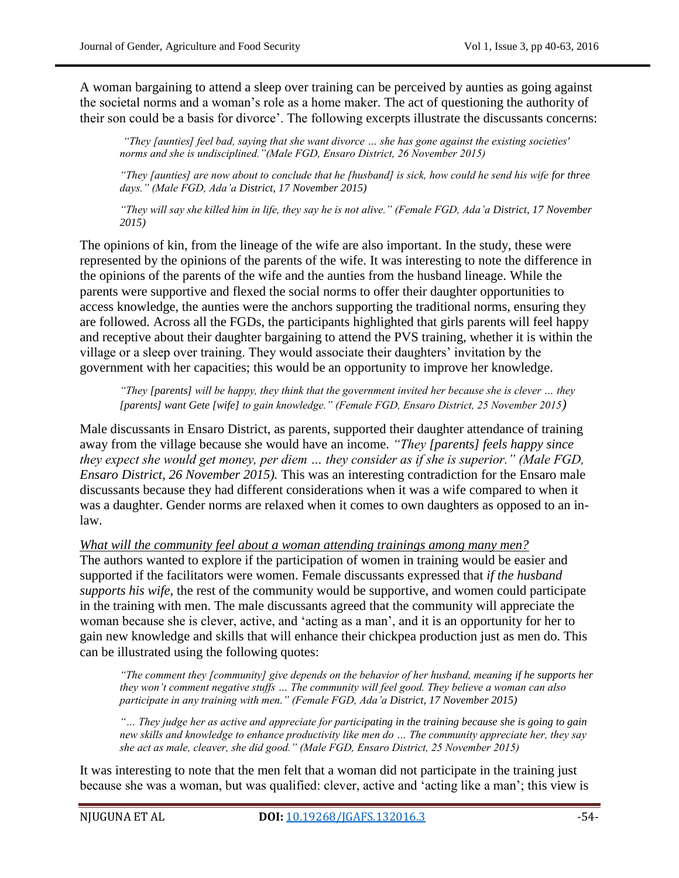A woman bargaining to attend a sleep over training can be perceived by aunties as going against the societal norms and a woman"s role as a home maker. The act of questioning the authority of their son could be a basis for divorce". The following excerpts illustrate the discussants concerns:

*"They [aunties] feel bad, saying that she want divorce … she has gone against the existing societies' norms and she is undisciplined."(Male FGD, Ensaro District, 26 November 2015)*

*"They [aunties] are now about to conclude that he [husband] is sick, how could he send his wife for three days." (Male FGD, Ada"a District, 17 November 2015)*

*"They will say she killed him in life, they say he is not alive." (Female FGD, Ada"a District, 17 November 2015)*

The opinions of kin, from the lineage of the wife are also important. In the study, these were represented by the opinions of the parents of the wife. It was interesting to note the difference in the opinions of the parents of the wife and the aunties from the husband lineage. While the parents were supportive and flexed the social norms to offer their daughter opportunities to access knowledge, the aunties were the anchors supporting the traditional norms, ensuring they are followed. Across all the FGDs, the participants highlighted that girls parents will feel happy and receptive about their daughter bargaining to attend the PVS training, whether it is within the village or a sleep over training. They would associate their daughters' invitation by the government with her capacities; this would be an opportunity to improve her knowledge.

*"They [parents] will be happy, they think that the government invited her because she is clever … they [parents] want Gete [wife] to gain knowledge." (Female FGD, Ensaro District, 25 November 2015)*

Male discussants in Ensaro District, as parents, supported their daughter attendance of training away from the village because she would have an income. *"They [parents] feels happy since they expect she would get money, per diem … they consider as if she is superior." (Male FGD, Ensaro District, 26 November 2015).* This was an interesting contradiction for the Ensaro male discussants because they had different considerations when it was a wife compared to when it was a daughter. Gender norms are relaxed when it comes to own daughters as opposed to an inlaw.

*What will the community feel about a woman attending trainings among many men?* The authors wanted to explore if the participation of women in training would be easier and supported if the facilitators were women. Female discussants expressed that *if the husband supports his wife*, the rest of the community would be supportive, and women could participate in the training with men. The male discussants agreed that the community will appreciate the woman because she is clever, active, and "acting as a man", and it is an opportunity for her to gain new knowledge and skills that will enhance their chickpea production just as men do. This can be illustrated using the following quotes:

*"The comment they [community] give depends on the behavior of her husband, meaning if he supports her they won"t comment negative stuffs … The community will feel good. They believe a woman can also participate in any training with men." (Female FGD, Ada"a District, 17 November 2015)*

*"… They judge her as active and appreciate for participating in the training because she is going to gain new skills and knowledge to enhance productivity like men do … The community appreciate her, they say she act as male, cleaver, she did good." (Male FGD, Ensaro District, 25 November 2015)*

It was interesting to note that the men felt that a woman did not participate in the training just because she was a woman, but was qualified: clever, active and "acting like a man"; this view is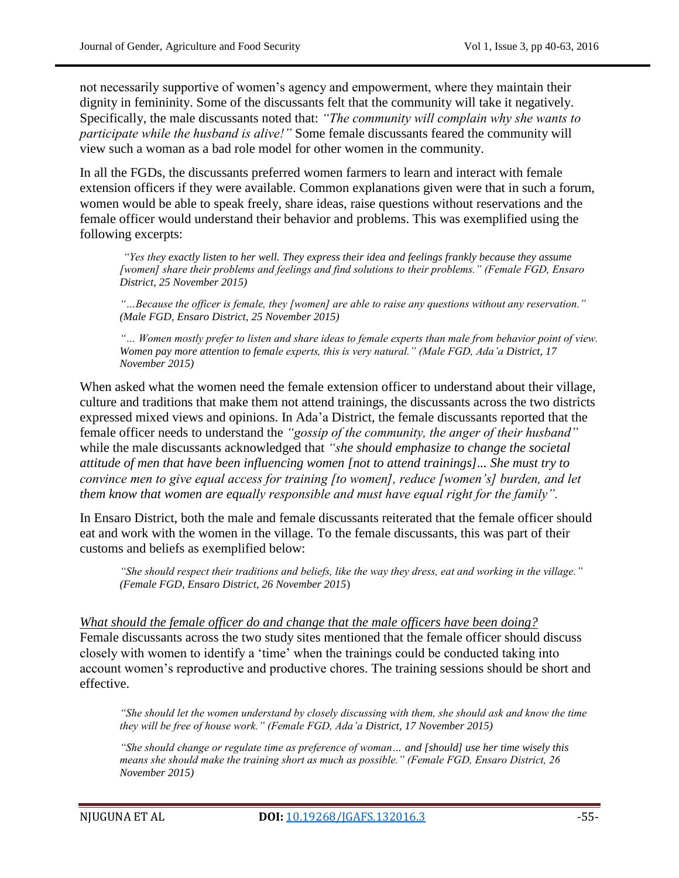not necessarily supportive of women"s agency and empowerment, where they maintain their dignity in femininity. Some of the discussants felt that the community will take it negatively. Specifically, the male discussants noted that: *"The community will complain why she wants to participate while the husband is alive!"* Some female discussants feared the community will view such a woman as a bad role model for other women in the community.

In all the FGDs, the discussants preferred women farmers to learn and interact with female extension officers if they were available. Common explanations given were that in such a forum, women would be able to speak freely, share ideas, raise questions without reservations and the female officer would understand their behavior and problems. This was exemplified using the following excerpts:

*"Yes they exactly listen to her well. They express their idea and feelings frankly because they assume [women] share their problems and feelings and find solutions to their problems." (Female FGD, Ensaro District, 25 November 2015)*

*"…Because the officer is female, they [women] are able to raise any questions without any reservation." (Male FGD, Ensaro District, 25 November 2015)*

*"… Women mostly prefer to listen and share ideas to female experts than male from behavior point of view. Women pay more attention to female experts, this is very natural." (Male FGD, Ada"a District, 17 November 2015)*

When asked what the women need the female extension officer to understand about their village, culture and traditions that make them not attend trainings, the discussants across the two districts expressed mixed views and opinions. In Ada"a District, the female discussants reported that the female officer needs to understand the *"gossip of the community, the anger of their husband"* while the male discussants acknowledged that *"she should emphasize to change the societal attitude of men that have been influencing women [not to attend trainings]... She must try to convince men to give equal access for training [to women], reduce [women"s] burden, and let them know that women are equally responsible and must have equal right for the family".*

In Ensaro District, both the male and female discussants reiterated that the female officer should eat and work with the women in the village. To the female discussants, this was part of their customs and beliefs as exemplified below:

*"She should respect their traditions and beliefs, like the way they dress, eat and working in the village." (Female FGD, Ensaro District, 26 November 2015*)

*What should the female officer do and change that the male officers have been doing?* Female discussants across the two study sites mentioned that the female officer should discuss closely with women to identify a "time" when the trainings could be conducted taking into account women's reproductive and productive chores. The training sessions should be short and effective.

*"She should let the women understand by closely discussing with them, she should ask and know the time they will be free of house work." (Female FGD, Ada"a District, 17 November 2015)*

*"She should change or regulate time as preference of woman… and [should] use her time wisely this means she should make the training short as much as possible." (Female FGD, Ensaro District, 26 November 2015)*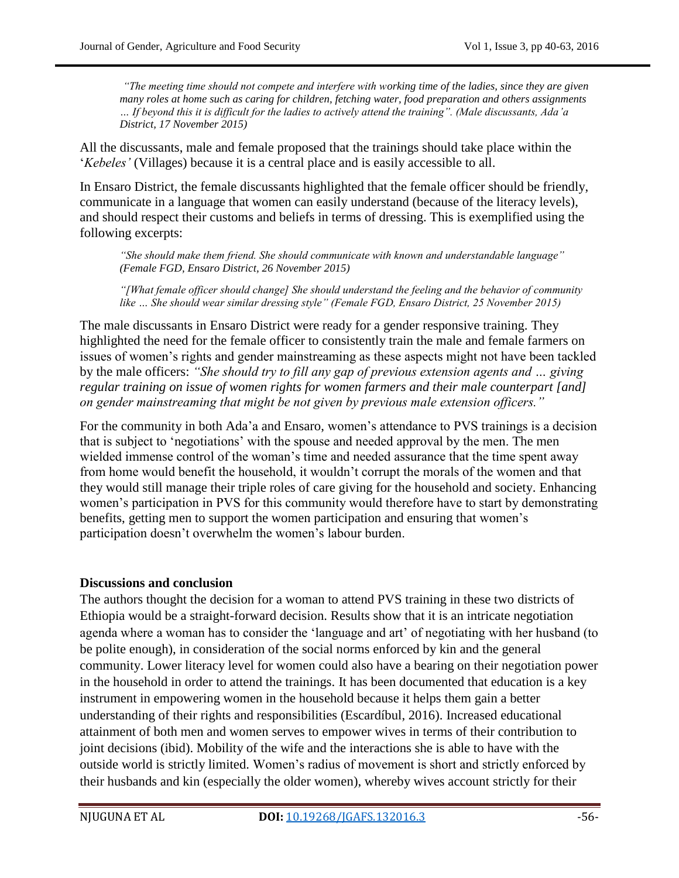*"The meeting time should not compete and interfere with working time of the ladies, since they are given many roles at home such as caring for children, fetching water, food preparation and others assignments … If beyond this it is difficult for the ladies to actively attend the training". (Male discussants, Ada"a District, 17 November 2015)*

All the discussants, male and female proposed that the trainings should take place within the "*Kebeles"* (Villages) because it is a central place and is easily accessible to all.

In Ensaro District, the female discussants highlighted that the female officer should be friendly, communicate in a language that women can easily understand (because of the literacy levels), and should respect their customs and beliefs in terms of dressing. This is exemplified using the following excerpts:

*"She should make them friend. She should communicate with known and understandable language" (Female FGD, Ensaro District, 26 November 2015)*

*"[What female officer should change] She should understand the feeling and the behavior of community like … She should wear similar dressing style" (Female FGD, Ensaro District, 25 November 2015)*

The male discussants in Ensaro District were ready for a gender responsive training. They highlighted the need for the female officer to consistently train the male and female farmers on issues of women"s rights and gender mainstreaming as these aspects might not have been tackled by the male officers: *"She should try to fill any gap of previous extension agents and … giving regular training on issue of women rights for women farmers and their male counterpart [and] on gender mainstreaming that might be not given by previous male extension officers."* 

For the community in both Ada"a and Ensaro, women"s attendance to PVS trainings is a decision that is subject to "negotiations" with the spouse and needed approval by the men. The men wielded immense control of the woman's time and needed assurance that the time spent away from home would benefit the household, it wouldn"t corrupt the morals of the women and that they would still manage their triple roles of care giving for the household and society. Enhancing women"s participation in PVS for this community would therefore have to start by demonstrating benefits, getting men to support the women participation and ensuring that women"s participation doesn"t overwhelm the women"s labour burden.

#### **Discussions and conclusion**

The authors thought the decision for a woman to attend PVS training in these two districts of Ethiopia would be a straight-forward decision. Results show that it is an intricate negotiation agenda where a woman has to consider the 'language and art' of negotiating with her husband (to be polite enough), in consideration of the social norms enforced by kin and the general community. Lower literacy level for women could also have a bearing on their negotiation power in the household in order to attend the trainings. It has been documented that education is a key instrument in empowering women in the household because it helps them gain a better understanding of their rights and responsibilities (Escardíbul, 2016). Increased educational attainment of both men and women serves to empower wives in terms of their contribution to joint decisions (ibid). Mobility of the wife and the interactions she is able to have with the outside world is strictly limited. Women"s radius of movement is short and strictly enforced by their husbands and kin (especially the older women), whereby wives account strictly for their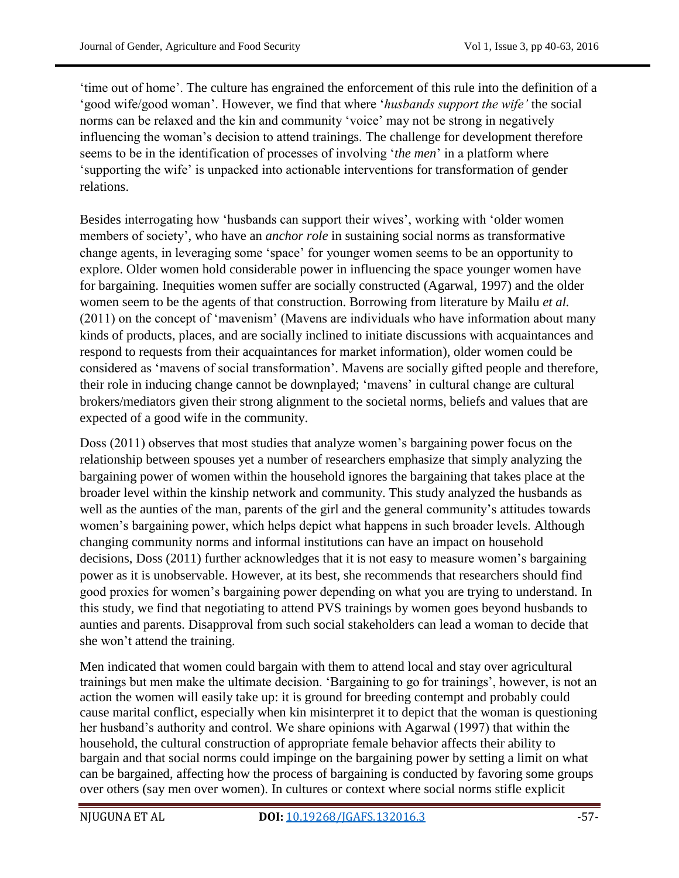"time out of home". The culture has engrained the enforcement of this rule into the definition of a "good wife/good woman". However, we find that where "*husbands support the wife"* the social norms can be relaxed and the kin and community 'voice' may not be strong in negatively influencing the woman"s decision to attend trainings. The challenge for development therefore seems to be in the identification of processes of involving "*the men*" in a platform where "supporting the wife" is unpacked into actionable interventions for transformation of gender relations.

Besides interrogating how 'husbands can support their wives', working with 'older women members of society', who have an *anchor role* in sustaining social norms as transformative change agents, in leveraging some "space" for younger women seems to be an opportunity to explore. Older women hold considerable power in influencing the space younger women have for bargaining. Inequities women suffer are socially constructed (Agarwal, 1997) and the older women seem to be the agents of that construction. Borrowing from literature by Mailu *et al.* (2011) on the concept of "mavenism" (Mavens are individuals who have information about many kinds of products, places, and are socially inclined to initiate discussions with acquaintances and respond to requests from their acquaintances for market information), older women could be considered as "mavens of social transformation". Mavens are socially gifted people and therefore, their role in inducing change cannot be downplayed; "mavens" in cultural change are cultural brokers/mediators given their strong alignment to the societal norms, beliefs and values that are expected of a good wife in the community.

Doss (2011) observes that most studies that analyze women"s bargaining power focus on the relationship between spouses yet a number of researchers emphasize that simply analyzing the bargaining power of women within the household ignores the bargaining that takes place at the broader level within the kinship network and community. This study analyzed the husbands as well as the aunties of the man, parents of the girl and the general community's attitudes towards women"s bargaining power, which helps depict what happens in such broader levels. Although changing community norms and informal institutions can have an impact on household decisions, Doss (2011) further acknowledges that it is not easy to measure women's bargaining power as it is unobservable. However, at its best, she recommends that researchers should find good proxies for women"s bargaining power depending on what you are trying to understand. In this study, we find that negotiating to attend PVS trainings by women goes beyond husbands to aunties and parents. Disapproval from such social stakeholders can lead a woman to decide that she won"t attend the training.

Men indicated that women could bargain with them to attend local and stay over agricultural trainings but men make the ultimate decision. "Bargaining to go for trainings", however, is not an action the women will easily take up: it is ground for breeding contempt and probably could cause marital conflict, especially when kin misinterpret it to depict that the woman is questioning her husband's authority and control. We share opinions with Agarwal (1997) that within the household, the cultural construction of appropriate female behavior affects their ability to bargain and that social norms could impinge on the bargaining power by setting a limit on what can be bargained, affecting how the process of bargaining is conducted by favoring some groups over others (say men over women). In cultures or context where social norms stifle explicit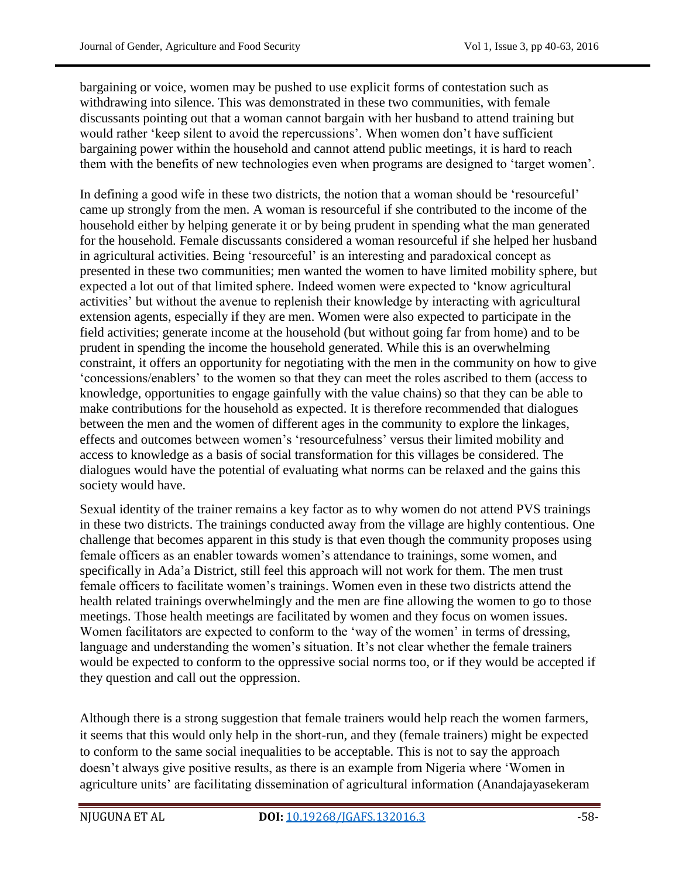bargaining or voice, women may be pushed to use explicit forms of contestation such as withdrawing into silence. This was demonstrated in these two communities, with female discussants pointing out that a woman cannot bargain with her husband to attend training but would rather 'keep silent to avoid the repercussions'. When women don't have sufficient bargaining power within the household and cannot attend public meetings, it is hard to reach them with the benefits of new technologies even when programs are designed to "target women".

In defining a good wife in these two districts, the notion that a woman should be 'resourceful' came up strongly from the men. A woman is resourceful if she contributed to the income of the household either by helping generate it or by being prudent in spending what the man generated for the household. Female discussants considered a woman resourceful if she helped her husband in agricultural activities. Being "resourceful" is an interesting and paradoxical concept as presented in these two communities; men wanted the women to have limited mobility sphere, but expected a lot out of that limited sphere. Indeed women were expected to "know agricultural activities" but without the avenue to replenish their knowledge by interacting with agricultural extension agents, especially if they are men. Women were also expected to participate in the field activities; generate income at the household (but without going far from home) and to be prudent in spending the income the household generated. While this is an overwhelming constraint, it offers an opportunity for negotiating with the men in the community on how to give "concessions/enablers" to the women so that they can meet the roles ascribed to them (access to knowledge, opportunities to engage gainfully with the value chains) so that they can be able to make contributions for the household as expected. It is therefore recommended that dialogues between the men and the women of different ages in the community to explore the linkages, effects and outcomes between women"s "resourcefulness" versus their limited mobility and access to knowledge as a basis of social transformation for this villages be considered. The dialogues would have the potential of evaluating what norms can be relaxed and the gains this society would have.

Sexual identity of the trainer remains a key factor as to why women do not attend PVS trainings in these two districts. The trainings conducted away from the village are highly contentious. One challenge that becomes apparent in this study is that even though the community proposes using female officers as an enabler towards women"s attendance to trainings, some women, and specifically in Ada"a District, still feel this approach will not work for them. The men trust female officers to facilitate women"s trainings. Women even in these two districts attend the health related trainings overwhelmingly and the men are fine allowing the women to go to those meetings. Those health meetings are facilitated by women and they focus on women issues. Women facilitators are expected to conform to the 'way of the women' in terms of dressing, language and understanding the women's situation. It's not clear whether the female trainers would be expected to conform to the oppressive social norms too, or if they would be accepted if they question and call out the oppression.

Although there is a strong suggestion that female trainers would help reach the women farmers, it seems that this would only help in the short-run, and they (female trainers) might be expected to conform to the same social inequalities to be acceptable. This is not to say the approach doesn't always give positive results, as there is an example from Nigeria where 'Women in agriculture units' are facilitating dissemination of agricultural information (Anandajayasekeram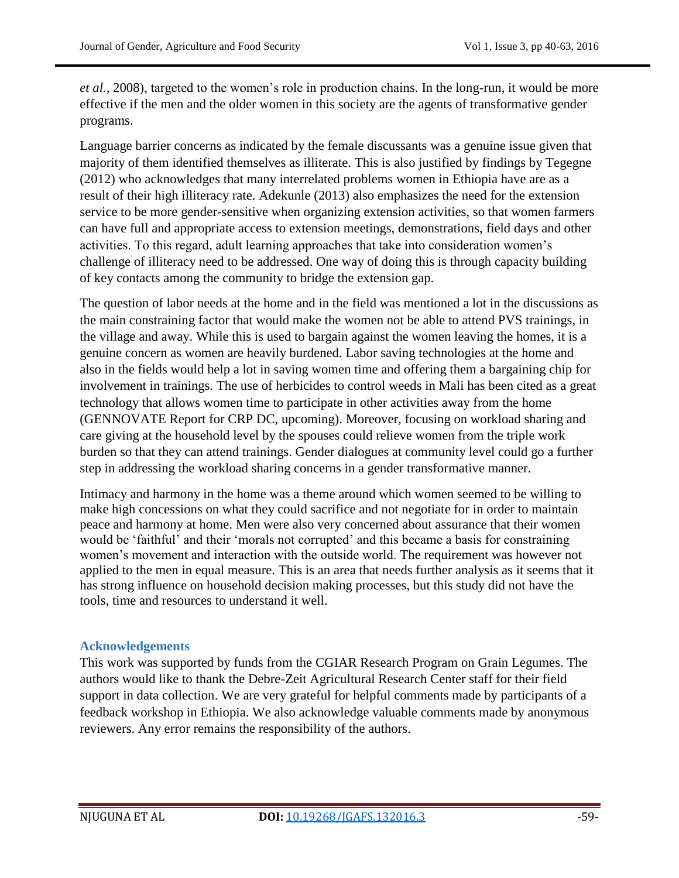*et al.*, 2008), targeted to the women's role in production chains. In the long-run, it would be more effective if the men and the older women in this society are the agents of transformative gender programs.

Language barrier concerns as indicated by the female discussants was a genuine issue given that majority of them identified themselves as illiterate. This is also justified by findings by Tegegne (2012) who acknowledges that many interrelated problems women in Ethiopia have are as a result of their high illiteracy rate. Adekunle (2013) also emphasizes the need for the extension service to be more gender-sensitive when organizing extension activities, so that women farmers can have full and appropriate access to extension meetings, demonstrations, field days and other activities. To this regard, adult learning approaches that take into consideration women"s challenge of illiteracy need to be addressed. One way of doing this is through capacity building of key contacts among the community to bridge the extension gap.

The question of labor needs at the home and in the field was mentioned a lot in the discussions as the main constraining factor that would make the women not be able to attend PVS trainings, in the village and away. While this is used to bargain against the women leaving the homes, it is a genuine concern as women are heavily burdened. Labor saving technologies at the home and also in the fields would help a lot in saving women time and offering them a bargaining chip for involvement in trainings. The use of herbicides to control weeds in Mali has been cited as a great technology that allows women time to participate in other activities away from the home (GENNOVATE Report for CRP DC, upcoming). Moreover, focusing on workload sharing and care giving at the household level by the spouses could relieve women from the triple work burden so that they can attend trainings. Gender dialogues at community level could go a further step in addressing the workload sharing concerns in a gender transformative manner.

Intimacy and harmony in the home was a theme around which women seemed to be willing to make high concessions on what they could sacrifice and not negotiate for in order to maintain peace and harmony at home. Men were also very concerned about assurance that their women would be 'faithful' and their 'morals not corrupted' and this became a basis for constraining women"s movement and interaction with the outside world. The requirement was however not applied to the men in equal measure. This is an area that needs further analysis as it seems that it has strong influence on household decision making processes, but this study did not have the tools, time and resources to understand it well.

## **Acknowledgements**

This work was supported by funds from the CGIAR Research Program on Grain Legumes. The authors would like to thank the Debre-Zeit Agricultural Research Center staff for their field support in data collection. We are very grateful for helpful comments made by participants of a feedback workshop in Ethiopia. We also acknowledge valuable comments made by anonymous reviewers. Any error remains the responsibility of the authors.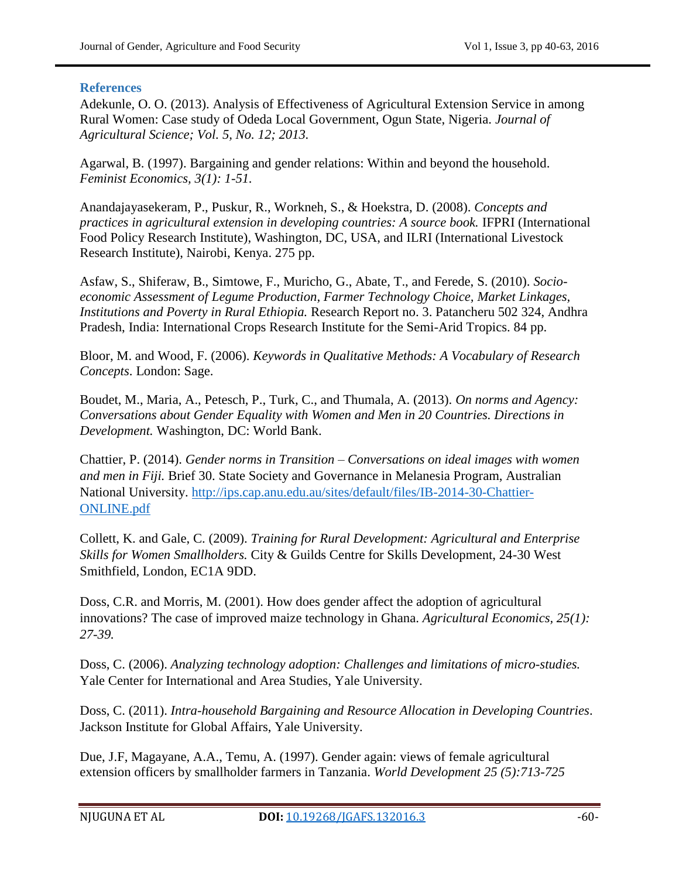#### **References**

Adekunle, O. O. (2013). Analysis of Effectiveness of Agricultural Extension Service in among Rural Women: Case study of Odeda Local Government, Ogun State, Nigeria. *Journal of Agricultural Science; Vol. 5, No. 12; 2013.*

Agarwal, B. (1997). Bargaining and gender relations: Within and beyond the household. *Feminist Economics, 3(1): 1-51.*

Anandajayasekeram, P., Puskur, R., Workneh, S., & Hoekstra, D. (2008). *Concepts and practices in agricultural extension in developing countries: A source book.* IFPRI (International Food Policy Research Institute), Washington, DC, USA, and ILRI (International Livestock Research Institute), Nairobi, Kenya. 275 pp.

Asfaw, S., Shiferaw, B., Simtowe, F., Muricho, G., Abate, T., and Ferede, S. (2010). *Socioeconomic Assessment of Legume Production, Farmer Technology Choice, Market Linkages, Institutions and Poverty in Rural Ethiopia.* Research Report no. 3. Patancheru 502 324, Andhra Pradesh, India: International Crops Research Institute for the Semi-Arid Tropics. 84 pp.

Bloor, M. and Wood, F. (2006). *Keywords in Qualitative Methods: A Vocabulary of Research Concepts*. London: Sage.

Boudet, M., Maria, A., Petesch, P., Turk, C., and Thumala, A. (2013). *On norms and Agency: Conversations about Gender Equality with Women and Men in 20 Countries. Directions in Development.* Washington, DC: World Bank.

Chattier, P. (2014). *Gender norms in Transition – Conversations on ideal images with women and men in Fiji.* Brief 30. State Society and Governance in Melanesia Program, Australian National University. [http://ips.cap.anu.edu.au/sites/default/files/IB-2014-30-Chattier-](http://ips.cap.anu.edu.au/sites/default/files/IB-2014-30-Chattier-ONLINE.pdf)[ONLINE.pdf](http://ips.cap.anu.edu.au/sites/default/files/IB-2014-30-Chattier-ONLINE.pdf)

Collett, K. and Gale, C. (2009). *Training for Rural Development: Agricultural and Enterprise Skills for Women Smallholders.* City & Guilds Centre for Skills Development, 24-30 West Smithfield, London, EC1A 9DD.

Doss, C.R. and Morris, M. (2001). How does gender affect the adoption of agricultural innovations? The case of improved maize technology in Ghana. *Agricultural Economics, 25(1): 27-39.*

Doss, C. (2006). *Analyzing technology adoption: Challenges and limitations of micro-studies.* Yale Center for International and Area Studies, Yale University.

Doss, C. (2011). *Intra-household Bargaining and Resource Allocation in Developing Countries*. Jackson Institute for Global Affairs, Yale University.

Due, J.F, Magayane, A.A., Temu, A. (1997). Gender again: views of female agricultural extension officers by smallholder farmers in Tanzania. *World Development 25 (5):713-725*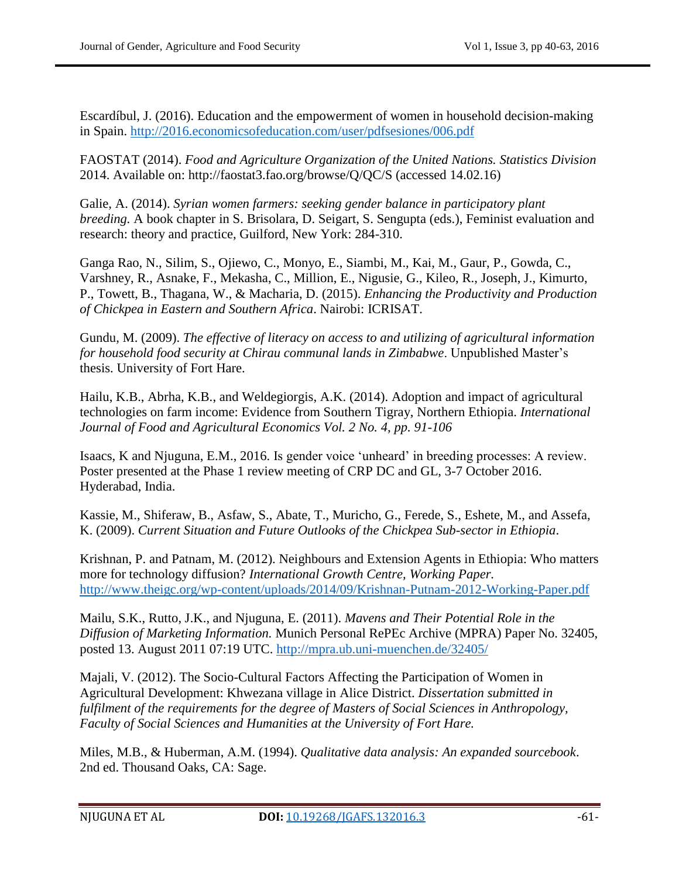Escardíbul, J. (2016). Education and the empowerment of women in household decision-making in Spain.<http://2016.economicsofeducation.com/user/pdfsesiones/006.pdf>

FAOSTAT (2014). *Food and Agriculture Organization of the United Nations. Statistics Division* 2014. Available on: http://faostat3.fao.org/browse/Q/QC/S (accessed 14.02.16)

Galie, A. (2014). *Syrian women farmers: seeking gender balance in participatory plant breeding.* A book chapter in S. Brisolara, D. Seigart, S. Sengupta (eds.), Feminist evaluation and research: theory and practice, Guilford, New York: 284-310.

Ganga Rao, N., Silim, S., Ojiewo, C., Monyo, E., Siambi, M., Kai, M., Gaur, P., Gowda, C., Varshney, R., Asnake, F., Mekasha, C., Million, E., Nigusie, G., Kileo, R., Joseph, J., Kimurto, P., Towett, B., Thagana, W., & Macharia, D. (2015). *Enhancing the Productivity and Production of Chickpea in Eastern and Southern Africa*. Nairobi: ICRISAT.

Gundu, M. (2009). *The effective of literacy on access to and utilizing of agricultural information for household food security at Chirau communal lands in Zimbabwe*. Unpublished Master"s thesis. University of Fort Hare.

Hailu, K.B., Abrha, K.B., and Weldegiorgis, A.K. (2014). Adoption and impact of agricultural technologies on farm income: Evidence from Southern Tigray, Northern Ethiopia. *International Journal of Food and Agricultural Economics Vol. 2 No. 4, pp. 91-106*

Isaacs, K and Njuguna, E.M., 2016. Is gender voice "unheard" in breeding processes: A review. Poster presented at the Phase 1 review meeting of CRP DC and GL, 3-7 October 2016. Hyderabad, India.

Kassie, M., Shiferaw, B., Asfaw, S., Abate, T., Muricho, G., Ferede, S., Eshete, M., and Assefa, K. (2009). *Current Situation and Future Outlooks of the Chickpea Sub-sector in Ethiopia*.

Krishnan, P. and Patnam, M. (2012). Neighbours and Extension Agents in Ethiopia: Who matters more for technology diffusion? *International Growth Centre, Working Paper.* <http://www.theigc.org/wp-content/uploads/2014/09/Krishnan-Putnam-2012-Working-Paper.pdf>

Mailu, S.K., Rutto, J.K., and Njuguna, E. (2011). *Mavens and Their Potential Role in the Diffusion of Marketing Information.* Munich Personal RePEc Archive (MPRA) Paper No. 32405, posted 13. August 2011 07:19 UTC.<http://mpra.ub.uni-muenchen.de/32405/>

Majali, V. (2012). The Socio-Cultural Factors Affecting the Participation of Women in Agricultural Development: Khwezana village in Alice District. *Dissertation submitted in fulfilment of the requirements for the degree of Masters of Social Sciences in Anthropology, Faculty of Social Sciences and Humanities at the University of Fort Hare.*

Miles, M.B., & Huberman, A.M. (1994). *Qualitative data analysis: An expanded sourcebook*. 2nd ed. Thousand Oaks, CA: Sage.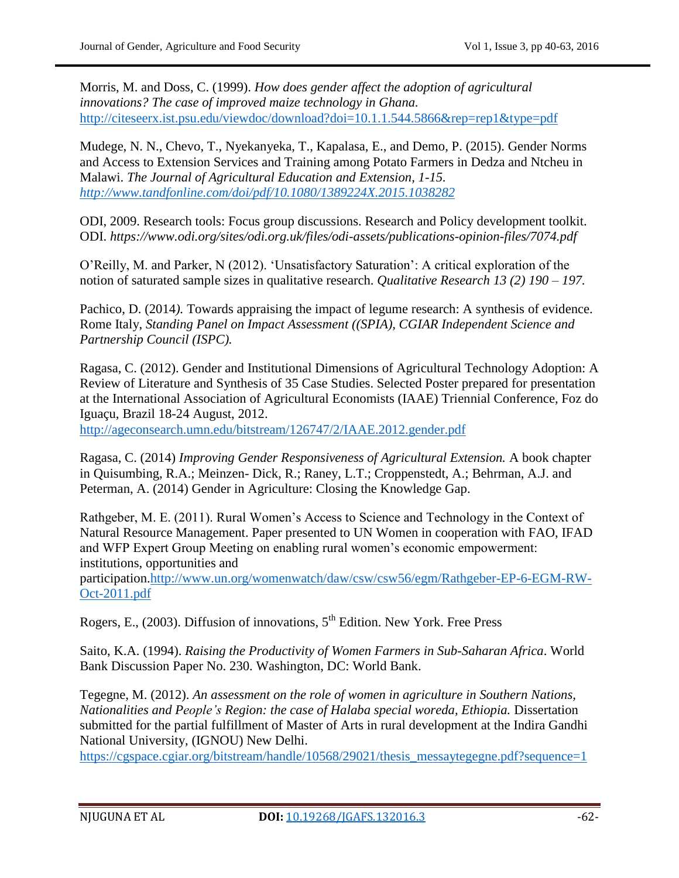Morris, M. and Doss, C. (1999). *How does gender affect the adoption of agricultural innovations? The case of improved maize technology in Ghana.* <http://citeseerx.ist.psu.edu/viewdoc/download?doi=10.1.1.544.5866&rep=rep1&type=pdf>

Mudege, N. N., Chevo, T., Nyekanyeka, T., Kapalasa, E., and Demo, P. (2015). Gender Norms and Access to Extension Services and Training among Potato Farmers in Dedza and Ntcheu in Malawi. *The Journal of Agricultural Education and Extension, 1-15. <http://www.tandfonline.com/doi/pdf/10.1080/1389224X.2015.1038282>*

ODI, 2009. Research tools: Focus group discussions. Research and Policy development toolkit. ODI. *https://www.odi.org/sites/odi.org.uk/files/odi-assets/publications-opinion-files/7074.pdf*

O"Reilly, M. and Parker, N (2012). "Unsatisfactory Saturation": A critical exploration of the notion of saturated sample sizes in qualitative research. *Qualitative Research 13 (2) 190 – 197.*

Pachico, D. (2014*).* Towards appraising the impact of legume research: A synthesis of evidence. Rome Italy, *Standing Panel on Impact Assessment ((SPIA), CGIAR Independent Science and Partnership Council (ISPC).*

Ragasa, C. (2012). Gender and Institutional Dimensions of Agricultural Technology Adoption: A Review of Literature and Synthesis of 35 Case Studies. Selected Poster prepared for presentation at the International Association of Agricultural Economists (IAAE) Triennial Conference, Foz do Iguaçu, Brazil 18-24 August, 2012.

<http://ageconsearch.umn.edu/bitstream/126747/2/IAAE.2012.gender.pdf>

Ragasa, C. (2014) *Improving Gender Responsiveness of Agricultural Extension.* A book chapter in Quisumbing, R.A.; Meinzen- Dick, R.; Raney, L.T.; Croppenstedt, A.; Behrman, A.J. and Peterman, A. (2014) Gender in Agriculture: Closing the Knowledge Gap.

Rathgeber, M. E. (2011). Rural Women"s Access to Science and Technology in the Context of Natural Resource Management. Paper presented to UN Women in cooperation with FAO, IFAD and WFP Expert Group Meeting on enabling rural women"s economic empowerment: institutions, opportunities and

participation[.http://www.un.org/womenwatch/daw/csw/csw56/egm/Rathgeber-EP-6-EGM-RW-](http://www.un.org/womenwatch/daw/csw/csw56/egm/Rathgeber-EP-6-EGM-RW-Oct-2011.pdf)[Oct-2011.pdf](http://www.un.org/womenwatch/daw/csw/csw56/egm/Rathgeber-EP-6-EGM-RW-Oct-2011.pdf)

Rogers, E., (2003). Diffusion of innovations,  $5<sup>th</sup>$  Edition. New York. Free Press

Saito, K.A. (1994). *Raising the Productivity of Women Farmers in Sub-Saharan Africa*. World Bank Discussion Paper No. 230. Washington, DC: World Bank.

Tegegne, M. (2012). *An assessment on the role of women in agriculture in Southern Nations, Nationalities and People's Region: the case of Halaba special woreda, Ethiopia. Dissertation* submitted for the partial fulfillment of Master of Arts in rural development at the Indira Gandhi National University, (IGNOU) New Delhi.

[https://cgspace.cgiar.org/bitstream/handle/10568/29021/thesis\\_messaytegegne.pdf?sequence=1](https://cgspace.cgiar.org/bitstream/handle/10568/29021/thesis_messaytegegne.pdf?sequence=1)